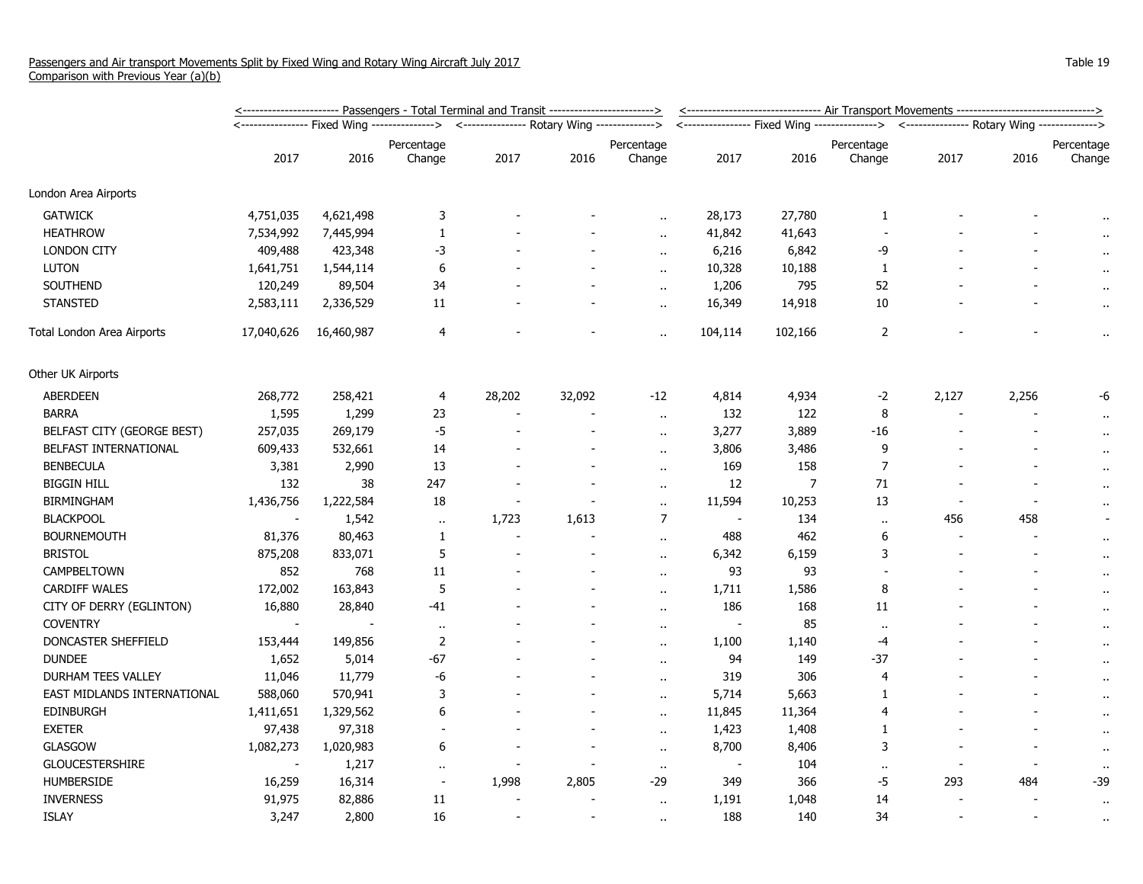|                             | <u>&lt;----------------------- Passengers - Total Terminal and Transit ------------------------&gt;</u> |            |                                                                   |        |                          |                          |                          | <------------------------------ Air Transport Movements ------------------------------> |                                                                                          |                |       |                      |  |
|-----------------------------|---------------------------------------------------------------------------------------------------------|------------|-------------------------------------------------------------------|--------|--------------------------|--------------------------|--------------------------|-----------------------------------------------------------------------------------------|------------------------------------------------------------------------------------------|----------------|-------|----------------------|--|
|                             |                                                                                                         |            | <--------------- Rotary Wing --------------><br>----------------> |        |                          |                          |                          |                                                                                         | <---------------- Fixed Wing --------------> <--------------- Rotary Wing -------------> |                |       |                      |  |
|                             |                                                                                                         |            | Percentage                                                        |        |                          | Percentage               |                          |                                                                                         | Percentage                                                                               |                |       | Percentage           |  |
|                             | 2017                                                                                                    | 2016       | Change                                                            | 2017   | 2016                     | Change                   | 2017                     | 2016                                                                                    | Change                                                                                   | 2017           | 2016  | Change               |  |
| London Area Airports        |                                                                                                         |            |                                                                   |        |                          |                          |                          |                                                                                         |                                                                                          |                |       |                      |  |
| <b>GATWICK</b>              | 4,751,035                                                                                               | 4,621,498  | 3                                                                 |        |                          |                          | 28,173                   | 27,780                                                                                  | $\mathbf{1}$                                                                             |                |       |                      |  |
| <b>HEATHROW</b>             | 7,534,992                                                                                               | 7,445,994  | 1                                                                 |        |                          | $\ddot{\phantom{a}}$     | 41,842                   | 41,643                                                                                  |                                                                                          |                |       |                      |  |
| <b>LONDON CITY</b>          | 409,488                                                                                                 | 423,348    | -3                                                                |        |                          | $\ddot{\phantom{a}}$     | 6,216                    | 6,842                                                                                   | -9                                                                                       |                |       |                      |  |
| <b>LUTON</b>                | 1,641,751                                                                                               | 1,544,114  | 6                                                                 |        |                          | $\ddot{\phantom{a}}$     | 10,328                   | 10,188                                                                                  | $\mathbf{1}$                                                                             |                |       |                      |  |
| SOUTHEND                    | 120,249                                                                                                 | 89,504     | 34                                                                |        |                          | $\ddot{\phantom{a}}$     | 1,206                    | 795                                                                                     | 52                                                                                       |                |       | $\bullet$ .          |  |
| <b>STANSTED</b>             | 2,583,111                                                                                               | 2,336,529  | 11                                                                |        |                          | $\sim$                   | 16,349                   | 14,918                                                                                  | 10                                                                                       |                |       | $\alpha$             |  |
| Total London Area Airports  | 17,040,626                                                                                              | 16,460,987 | 4                                                                 |        |                          | $\ddot{\phantom{a}}$     | 104,114                  | 102,166                                                                                 | 2                                                                                        |                |       | $\ddot{\phantom{1}}$ |  |
| Other UK Airports           |                                                                                                         |            |                                                                   |        |                          |                          |                          |                                                                                         |                                                                                          |                |       |                      |  |
| ABERDEEN                    | 268,772                                                                                                 | 258,421    | 4                                                                 | 28,202 | 32,092                   | $-12$                    | 4,814                    | 4,934                                                                                   | $-2$                                                                                     | 2,127          | 2,256 | -6                   |  |
| <b>BARRA</b>                | 1,595                                                                                                   | 1,299      | 23                                                                |        |                          | $\ddot{\phantom{a}}$     | 132                      | 122                                                                                     | 8                                                                                        |                |       | $\cdot$              |  |
| BELFAST CITY (GEORGE BEST)  | 257,035                                                                                                 | 269,179    | $-5$                                                              |        | $\overline{\phantom{a}}$ | $\ddot{\phantom{a}}$     | 3,277                    | 3,889                                                                                   | $-16$                                                                                    |                |       | $\alpha$             |  |
| BELFAST INTERNATIONAL       | 609,433                                                                                                 | 532,661    | 14                                                                |        |                          | $\ddot{\phantom{a}}$     | 3,806                    | 3,486                                                                                   | 9                                                                                        |                |       | $\alpha$             |  |
| <b>BENBECULA</b>            | 3,381                                                                                                   | 2,990      | 13                                                                |        |                          | $\ddot{\phantom{a}}$     | 169                      | 158                                                                                     | $\overline{7}$                                                                           |                |       | $\cdot$ .            |  |
| <b>BIGGIN HILL</b>          | 132                                                                                                     | 38         | 247                                                               |        | $\sim$                   | $\ddot{\phantom{1}}$     | 12                       | $\overline{7}$                                                                          | 71                                                                                       |                |       | $\ddot{\phantom{1}}$ |  |
| <b>BIRMINGHAM</b>           | 1,436,756                                                                                               | 1,222,584  | 18                                                                |        |                          | $\ddot{\phantom{a}}$     | 11,594                   | 10,253                                                                                  | 13                                                                                       |                |       | $\ddot{\phantom{1}}$ |  |
| <b>BLACKPOOL</b>            |                                                                                                         | 1,542      | $\alpha$ .                                                        | 1,723  | 1,613                    | $\overline{7}$           | $\blacksquare$           | 134                                                                                     | $\ddot{\phantom{a}}$                                                                     | 456            | 458   |                      |  |
| <b>BOURNEMOUTH</b>          | 81,376                                                                                                  | 80,463     | 1                                                                 |        |                          | $\ddot{\phantom{a}}$     | 488                      | 462                                                                                     | 6                                                                                        |                |       | $\mathbf{r}$         |  |
| <b>BRISTOL</b>              | 875,208                                                                                                 | 833,071    | 5                                                                 |        |                          | $\ddot{\phantom{a}}$     | 6,342                    | 6,159                                                                                   | 3                                                                                        |                |       | $\alpha$             |  |
| CAMPBELTOWN                 | 852                                                                                                     | 768        | 11                                                                |        |                          | $\mathbf{r}$ .           | 93                       | 93                                                                                      |                                                                                          |                |       | $\cdot$ .            |  |
| <b>CARDIFF WALES</b>        | 172,002                                                                                                 | 163,843    | $\sqrt{5}$                                                        |        |                          | $\ddot{\phantom{a}}$     | 1,711                    | 1,586                                                                                   | 8                                                                                        |                |       | $\bullet$            |  |
| CITY OF DERRY (EGLINTON)    | 16,880                                                                                                  | 28,840     | -41                                                               |        |                          | $\sim$                   | 186                      | 168                                                                                     | 11                                                                                       |                |       | $\alpha$             |  |
| <b>COVENTRY</b>             | $\overline{\phantom{a}}$                                                                                |            | $\alpha$                                                          |        |                          | $\mathbf{r}$ .           | $\overline{\phantom{a}}$ | 85                                                                                      | $\ddot{\phantom{a}}$                                                                     |                |       | $\bullet$ .          |  |
| DONCASTER SHEFFIELD         | 153,444                                                                                                 | 149,856    | $\overline{2}$                                                    |        |                          | $\ddot{\phantom{a}}$     | 1,100                    | 1,140                                                                                   | $-4$                                                                                     |                |       | $\mathbf{r}$ .       |  |
| <b>DUNDEE</b>               | 1,652                                                                                                   | 5,014      | -67                                                               |        |                          | $\ddot{\phantom{a}}$     | 94                       | 149                                                                                     | -37                                                                                      |                |       | $\alpha$             |  |
| DURHAM TEES VALLEY          | 11,046                                                                                                  | 11,779     | -6                                                                |        |                          | $\mathbf{r}$ .           | 319                      | 306                                                                                     | $\overline{4}$                                                                           |                |       | $\alpha$             |  |
| EAST MIDLANDS INTERNATIONAL | 588,060                                                                                                 | 570,941    | 3                                                                 |        |                          | $\ddot{\phantom{a}}$     | 5,714                    | 5,663                                                                                   | 1                                                                                        |                |       | $\bullet$            |  |
| <b>EDINBURGH</b>            | 1,411,651                                                                                               | 1,329,562  | 6                                                                 |        |                          | $\ddot{\phantom{a}}$     | 11,845                   | 11,364                                                                                  | $\overline{4}$                                                                           |                |       | $\alpha$             |  |
| <b>EXETER</b>               | 97,438                                                                                                  | 97,318     |                                                                   |        |                          | $\overline{\phantom{a}}$ | 1,423                    | 1,408                                                                                   | $\mathbf{1}$                                                                             |                |       |                      |  |
| <b>GLASGOW</b>              | 1,082,273                                                                                               | 1,020,983  | 6                                                                 |        |                          | $\ddot{\phantom{a}}$     | 8,700                    | 8,406                                                                                   | 3                                                                                        |                |       | $\mathbf{r}$ .       |  |
| <b>GLOUCESTERSHIRE</b>      |                                                                                                         | 1,217      | $\alpha$                                                          |        |                          | $\cdot$ .                |                          | 104                                                                                     | $\ddot{\phantom{a}}$                                                                     |                |       | $\bullet$            |  |
| <b>HUMBERSIDE</b>           | 16,259                                                                                                  | 16,314     | $\overline{\phantom{a}}$                                          | 1,998  | 2,805                    | $-29$                    | 349                      | 366                                                                                     | $-5$                                                                                     | 293            | 484   | $-39$                |  |
| <b>INVERNESS</b>            | 91,975                                                                                                  | 82,886     | 11                                                                |        |                          | $\ddot{\phantom{a}}$     | 1,191                    | 1,048                                                                                   | 14                                                                                       |                |       | $\bullet$            |  |
| <b>ISLAY</b>                | 3,247                                                                                                   | 2,800      | 16                                                                |        |                          | $\ddot{\phantom{a}}$     | 188                      | 140                                                                                     | 34                                                                                       | $\overline{a}$ |       | $\sim$               |  |